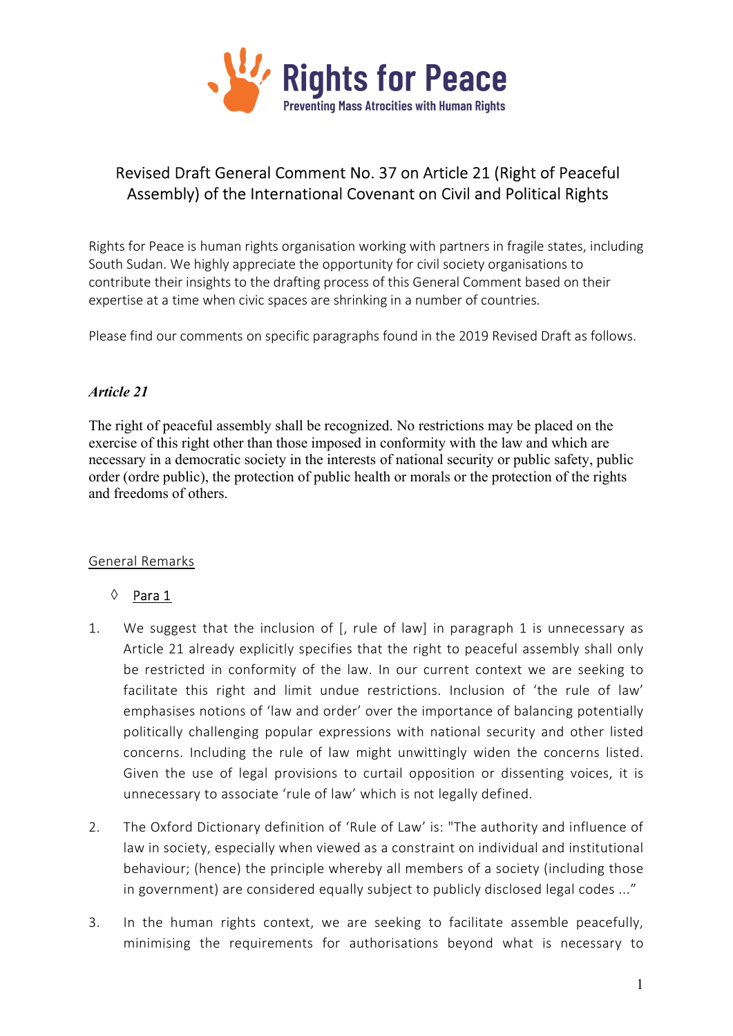

# Revised Draft General Comment No. 37 on Article 21 (Right of Peaceful Assembly) of the International Covenant on Civil and Political Rights

Rights for Peace is human rights organisation working with partners in fragile states, including South Sudan. We highly appreciate the opportunity for civil society organisations to contribute their insights to the drafting process of this General Comment based on their expertise at a time when civic spaces are shrinking in a number of countries.

Please find our comments on specific paragraphs found in the 2019 Revised Draft as follows.

### Article 21

The right of peaceful assembly shall be recognized. No restrictions may be placed on the exercise of this right other than those imposed in conformity with the law and which are necessary in a democratic society in the interests of national security or public safety, public order (ordre public), the protection of public health or morals or the protection of the rights and freedoms of others.

#### General Remarks

#### $\Diamond$  Para 1

- 1. We suggest that the inclusion of [, rule of law] in paragraph 1 is unnecessary as Article 21 already explicitly specifies that the right to peaceful assembly shall only be restricted in conformity of the law. In our current context we are seeking to facilitate this right and limit undue restrictions. Inclusion of 'the rule of law' emphasises notions of 'law and order' over the importance of balancing potentially politically challenging popular expressions with national security and other listed concerns. Including the rule of law might unwittingly widen the concerns listed. Given the use of legal provisions to curtail opposition or dissenting voices, it is unnecessary to associate 'rule of law' which is not legally defined.
- 2. The Oxford Dictionary definition of 'Rule of Law' is: "The authority and influence of law in society, especially when viewed as a constraint on individual and institutional behaviour; (hence) the principle whereby all members of a society (including those in government) are considered equally subject to publicly disclosed legal codes ..."
- 3. In the human rights context, we are seeking to facilitate assemble peacefully, minimising the requirements for authorisations beyond what is necessary to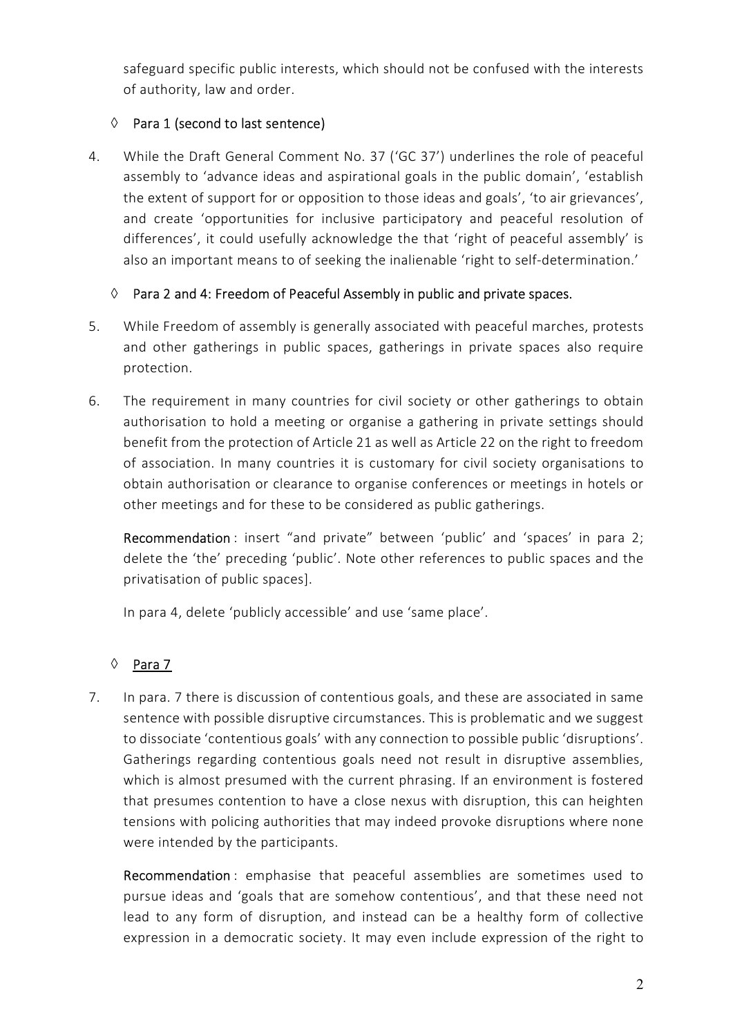safeguard specific public interests, which should not be confused with the interests of authority, law and order.

# $\Diamond$  Para 1 (second to last sentence)

4. While the Draft General Comment No. 37 ('GC 37') underlines the role of peaceful assembly to 'advance ideas and aspirational goals in the public domain', 'establish the extent of support for or opposition to those ideas and goals', 'to air grievances', and create 'opportunities for inclusive participatory and peaceful resolution of differences', it could usefully acknowledge the that 'right of peaceful assembly' is also an important means to of seeking the inalienable 'right to self-determination.'

# $\Diamond$  Para 2 and 4: Freedom of Peaceful Assembly in public and private spaces.

- 5. While Freedom of assembly is generally associated with peaceful marches, protests and other gatherings in public spaces, gatherings in private spaces also require protection.
- 6. The requirement in many countries for civil society or other gatherings to obtain authorisation to hold a meeting or organise a gathering in private settings should benefit from the protection of Article 21 as well as Article 22 on the right to freedom of association. In many countries it is customary for civil society organisations to obtain authorisation or clearance to organise conferences or meetings in hotels or other meetings and for these to be considered as public gatherings.

Recommendation : insert "and private" between 'public' and 'spaces' in para 2; delete the 'the' preceding 'public'. Note other references to public spaces and the privatisation of public spaces].

In para 4, delete 'publicly accessible' and use 'same place'.

# $\lozenge$  Para 7

7. In para. 7 there is discussion of contentious goals, and these are associated in same sentence with possible disruptive circumstances. This is problematic and we suggest to dissociate 'contentious goals' with any connection to possible public 'disruptions'. Gatherings regarding contentious goals need not result in disruptive assemblies, which is almost presumed with the current phrasing. If an environment is fostered that presumes contention to have a close nexus with disruption, this can heighten tensions with policing authorities that may indeed provoke disruptions where none were intended by the participants.

Recommendation : emphasise that peaceful assemblies are sometimes used to pursue ideas and 'goals that are somehow contentious', and that these need not lead to any form of disruption, and instead can be a healthy form of collective expression in a democratic society. It may even include expression of the right to